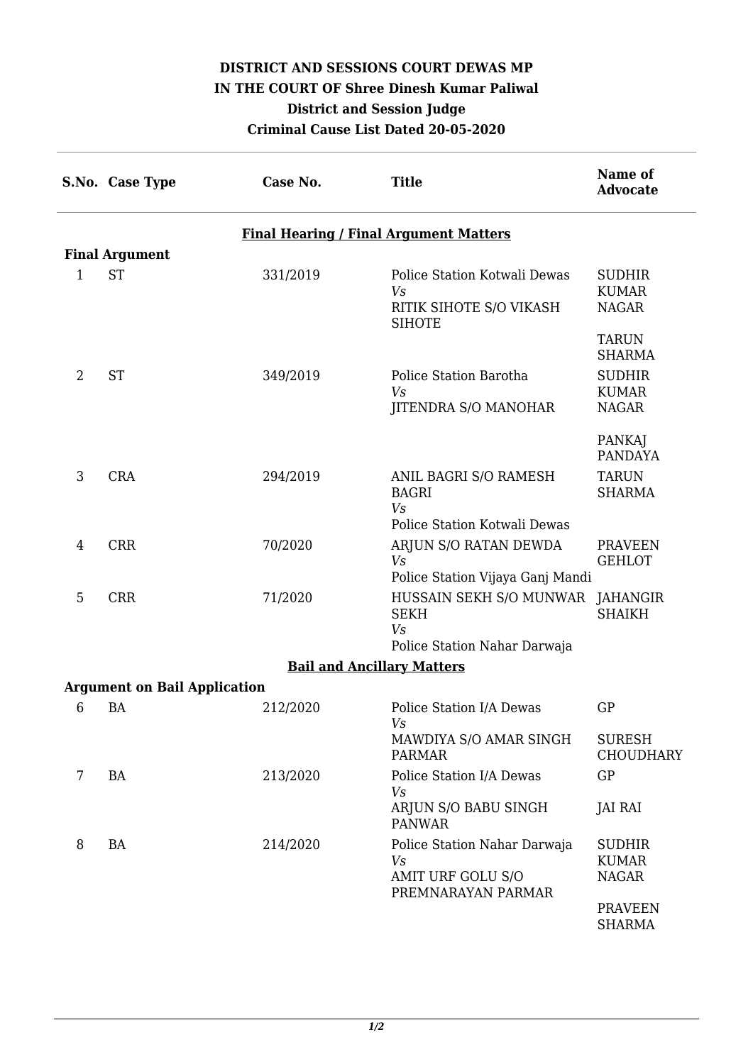## **DISTRICT AND SESSIONS COURT DEWAS MP IN THE COURT OF Shree Dinesh Kumar Paliwal District and Session Judge Criminal Cause List Dated 20-05-2020**

|                                               | S.No. Case Type                     | Case No. | <b>Title</b>                                                                          | Name of<br><b>Advocate</b>                    |  |  |  |  |
|-----------------------------------------------|-------------------------------------|----------|---------------------------------------------------------------------------------------|-----------------------------------------------|--|--|--|--|
| <b>Final Hearing / Final Argument Matters</b> |                                     |          |                                                                                       |                                               |  |  |  |  |
|                                               | <b>Final Argument</b>               |          |                                                                                       |                                               |  |  |  |  |
| 1                                             | <b>ST</b>                           | 331/2019 | Police Station Kotwali Dewas<br>Vs<br>RITIK SIHOTE S/O VIKASH<br><b>SIHOTE</b>        | <b>SUDHIR</b><br><b>KUMAR</b><br><b>NAGAR</b> |  |  |  |  |
|                                               |                                     |          |                                                                                       | <b>TARUN</b><br><b>SHARMA</b>                 |  |  |  |  |
| $\overline{2}$                                | <b>ST</b>                           | 349/2019 | Police Station Barotha<br>Vs<br>JITENDRA S/O MANOHAR                                  | <b>SUDHIR</b><br><b>KUMAR</b><br><b>NAGAR</b> |  |  |  |  |
|                                               |                                     |          |                                                                                       | PANKAJ<br><b>PANDAYA</b>                      |  |  |  |  |
| 3                                             | <b>CRA</b>                          | 294/2019 | ANIL BAGRI S/O RAMESH<br><b>BAGRI</b><br>Vs<br>Police Station Kotwali Dewas           | <b>TARUN</b><br><b>SHARMA</b>                 |  |  |  |  |
| 4                                             | <b>CRR</b>                          | 70/2020  | ARJUN S/O RATAN DEWDA<br>Vs<br>Police Station Vijaya Ganj Mandi                       | <b>PRAVEEN</b><br><b>GEHLOT</b>               |  |  |  |  |
| 5                                             | <b>CRR</b>                          | 71/2020  | HUSSAIN SEKH S/O MUNWAR JAHANGIR<br><b>SEKH</b><br>Vs<br>Police Station Nahar Darwaja | <b>SHAIKH</b>                                 |  |  |  |  |
|                                               |                                     |          | <b>Bail and Ancillary Matters</b>                                                     |                                               |  |  |  |  |
|                                               | <b>Argument on Bail Application</b> |          |                                                                                       |                                               |  |  |  |  |
| 6                                             | <b>BA</b>                           | 212/2020 | Police Station I/A Dewas<br>Vs                                                        | GP                                            |  |  |  |  |
|                                               |                                     |          | MAWDIYA S/O AMAR SINGH<br><b>PARMAR</b>                                               | <b>SURESH</b><br><b>CHOUDHARY</b>             |  |  |  |  |
| 7                                             | BA                                  | 213/2020 | Police Station I/A Dewas<br>V <sub>s</sub>                                            | GP                                            |  |  |  |  |
|                                               |                                     |          | ARJUN S/O BABU SINGH<br><b>PANWAR</b>                                                 | JAI RAI                                       |  |  |  |  |
| 8                                             | BA                                  | 214/2020 | Police Station Nahar Darwaja<br>Vs                                                    | <b>SUDHIR</b><br><b>KUMAR</b>                 |  |  |  |  |
|                                               |                                     |          | AMIT URF GOLU S/O<br>PREMNARAYAN PARMAR                                               | <b>NAGAR</b>                                  |  |  |  |  |
|                                               |                                     |          |                                                                                       | <b>PRAVEEN</b><br><b>SHARMA</b>               |  |  |  |  |